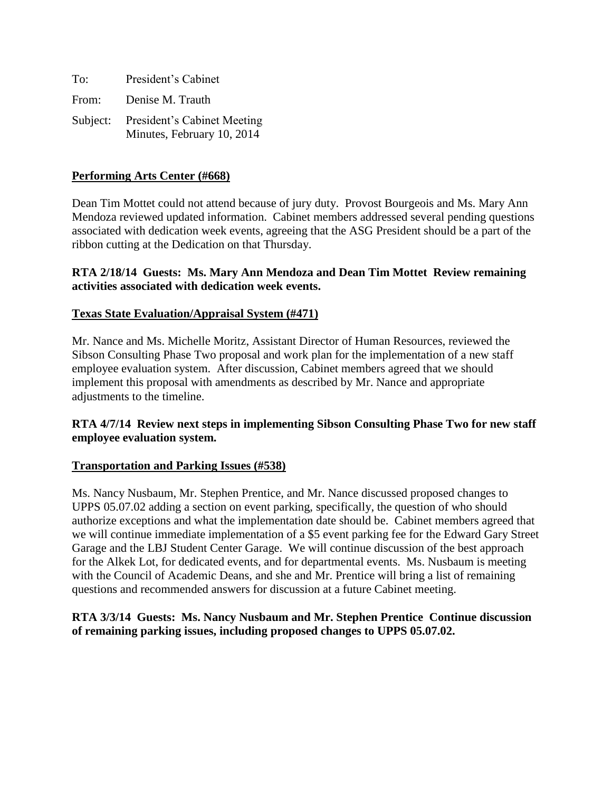| To:   | President's Cabinet                                                |
|-------|--------------------------------------------------------------------|
| From: | Denise M. Trauth                                                   |
|       | Subject: President's Cabinet Meeting<br>Minutes, February 10, 2014 |

# **Performing Arts Center (#668)**

Dean Tim Mottet could not attend because of jury duty. Provost Bourgeois and Ms. Mary Ann Mendoza reviewed updated information. Cabinet members addressed several pending questions associated with dedication week events, agreeing that the ASG President should be a part of the ribbon cutting at the Dedication on that Thursday.

# **RTA 2/18/14 Guests: Ms. Mary Ann Mendoza and Dean Tim Mottet Review remaining activities associated with dedication week events.**

#### **Texas State Evaluation/Appraisal System (#471)**

Mr. Nance and Ms. Michelle Moritz, Assistant Director of Human Resources, reviewed the Sibson Consulting Phase Two proposal and work plan for the implementation of a new staff employee evaluation system. After discussion, Cabinet members agreed that we should implement this proposal with amendments as described by Mr. Nance and appropriate adjustments to the timeline.

## **RTA 4/7/14 Review next steps in implementing Sibson Consulting Phase Two for new staff employee evaluation system.**

#### **Transportation and Parking Issues (#538)**

Ms. Nancy Nusbaum, Mr. Stephen Prentice, and Mr. Nance discussed proposed changes to UPPS 05.07.02 adding a section on event parking, specifically, the question of who should authorize exceptions and what the implementation date should be. Cabinet members agreed that we will continue immediate implementation of a \$5 event parking fee for the Edward Gary Street Garage and the LBJ Student Center Garage. We will continue discussion of the best approach for the Alkek Lot, for dedicated events, and for departmental events. Ms. Nusbaum is meeting with the Council of Academic Deans, and she and Mr. Prentice will bring a list of remaining questions and recommended answers for discussion at a future Cabinet meeting.

## **RTA 3/3/14 Guests: Ms. Nancy Nusbaum and Mr. Stephen Prentice Continue discussion of remaining parking issues, including proposed changes to UPPS 05.07.02.**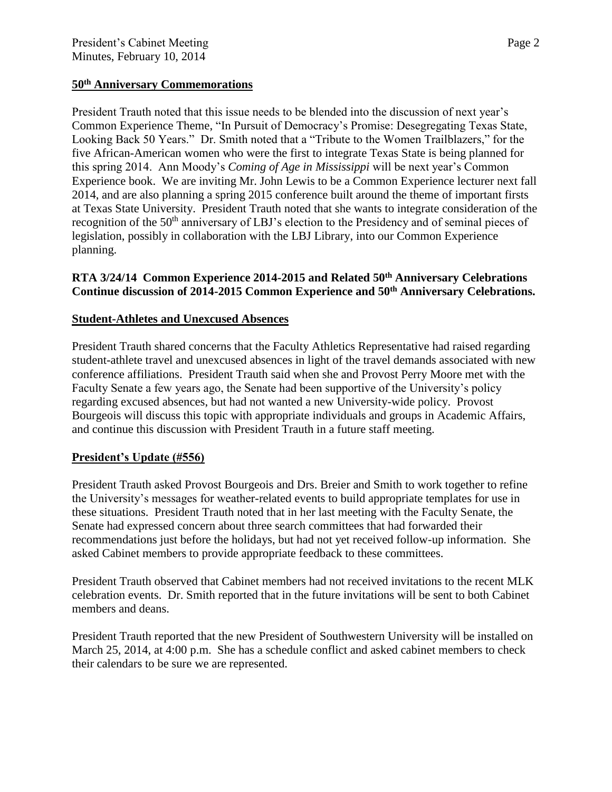# **50th Anniversary Commemorations**

President Trauth noted that this issue needs to be blended into the discussion of next year's Common Experience Theme, "In Pursuit of Democracy's Promise: Desegregating Texas State, Looking Back 50 Years." Dr. Smith noted that a "Tribute to the Women Trailblazers," for the five African-American women who were the first to integrate Texas State is being planned for this spring 2014. Ann Moody's *Coming of Age in Mississippi* will be next year's Common Experience book. We are inviting Mr. John Lewis to be a Common Experience lecturer next fall 2014, and are also planning a spring 2015 conference built around the theme of important firsts at Texas State University. President Trauth noted that she wants to integrate consideration of the recognition of the 50<sup>th</sup> anniversary of LBJ's election to the Presidency and of seminal pieces of legislation, possibly in collaboration with the LBJ Library, into our Common Experience planning.

# **RTA 3/24/14 Common Experience 2014-2015 and Related 50th Anniversary Celebrations Continue discussion of 2014-2015 Common Experience and 50th Anniversary Celebrations.**

#### **Student-Athletes and Unexcused Absences**

President Trauth shared concerns that the Faculty Athletics Representative had raised regarding student-athlete travel and unexcused absences in light of the travel demands associated with new conference affiliations. President Trauth said when she and Provost Perry Moore met with the Faculty Senate a few years ago, the Senate had been supportive of the University's policy regarding excused absences, but had not wanted a new University-wide policy. Provost Bourgeois will discuss this topic with appropriate individuals and groups in Academic Affairs, and continue this discussion with President Trauth in a future staff meeting.

#### **President's Update (#556)**

President Trauth asked Provost Bourgeois and Drs. Breier and Smith to work together to refine the University's messages for weather-related events to build appropriate templates for use in these situations. President Trauth noted that in her last meeting with the Faculty Senate, the Senate had expressed concern about three search committees that had forwarded their recommendations just before the holidays, but had not yet received follow-up information. She asked Cabinet members to provide appropriate feedback to these committees.

President Trauth observed that Cabinet members had not received invitations to the recent MLK celebration events. Dr. Smith reported that in the future invitations will be sent to both Cabinet members and deans.

President Trauth reported that the new President of Southwestern University will be installed on March 25, 2014, at 4:00 p.m. She has a schedule conflict and asked cabinet members to check their calendars to be sure we are represented.